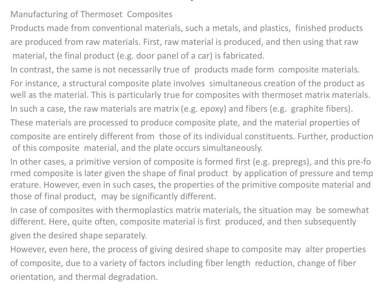## Manufacturing of Thermoset Composites

Products made from conventional materials, such a metals, and plastics, finished products are produced from raw materials. First, raw material is produced, and then using that raw material, the final product (e.g. door panel of a car) is fabricated.

.

- In contrast, the same is not necessarily true of products made form composite materials.
- For instance, a structural composite plate involves simultaneous creation of the product as well as the material. This is particularly true for composites with thermoset matrix materials.
- In such a case, the raw materials are matrix (e.g. epoxy) and fibers (e.g. graphite fibers).
- These materials are processed to produce composite plate, and the material properties of composite are entirely different from those of its individual constituents. Further, production of this composite material, and the plate occurs simultaneously.
- In other cases, a primitive version of composite is formed first (e.g. prepregs), and this pre‐fo rmed composite is later given the shape of final product by application of pressure and temp erature. However, even in such cases, the properties of the primitive composite material and those of final product, may be significantly different.
- In case of composites with thermoplastics matrix materials, the situation may be somewhat different. Here, quite often, composite material is first produced, and then subsequently given the desired shape separately.
- However, even here, the process of giving desired shape to composite may alter properties of composite, due to a variety of factors including fiber length reduction, change of fiber orientation, and thermal degradation.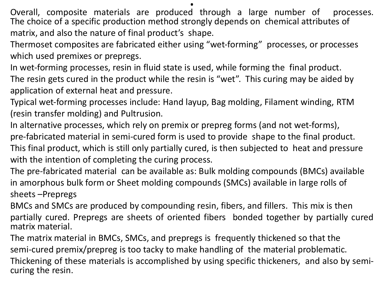Overall, composite materials are produced through a large number of processes. The choice of a specific production method strongly depends on chemical attributes of matrix, and also the nature of final product's shape.

.

Thermoset composites are fabricated either using "wet‐forming" processes, or processes which used premixes or prepregs.

In wet-forming processes, resin in fluid state is used, while forming the final product. The resin gets cured in the product while the resin is "wet". This curing may be aided by application of external heat and pressure.

Typical wet‐forming processes include: Hand layup, Bag molding, Filament winding, RTM (resin transfer molding) and Pultrusion.

In alternative processes, which rely on premix or prepreg forms (and not wet‐forms), pre‐fabricated material in semi‐cured form is used to provide shape to the final product. This final product, which is still only partially cured, is then subjected to heat and pressure with the intention of completing the curing process.

The pre‐fabricated material can be available as: Bulk molding compounds (BMCs) available in amorphous bulk form or Sheet molding compounds (SMCs) available in large rolls of sheets –Prepregs

BMCs and SMCs are produced by compounding resin, fibers, and fillers. This mix is then partially cured. Prepregs are sheets of oriented fibers bonded together by partially cured matrix material.

The matrix material in BMCs, SMCs, and prepregs is frequently thickened so that the semi-cured premix/prepreg is too tacky to make handling of the material problematic. Thickening of these materials is accomplished by using specific thickeners, and also by semi‐ curing the resin.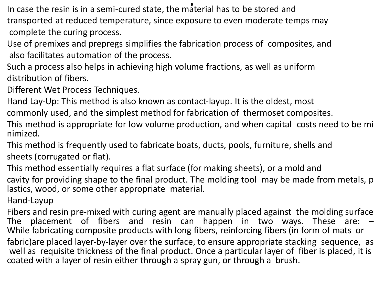In case the resin is in a semi-cured state, the material has to be stored and transported at reduced temperature, since exposure to even moderate temps may complete the curing process.

- Use of premixes and prepregs simplifies the fabrication process of composites, and also facilitates automation of the process.
- Such a process also helps in achieving high volume fractions, as well as uniform distribution of fibers.
- Different Wet Process Techniques.
- Hand Lay-Up: This method is also known as contact-layup. It is the oldest, most commonly used, and the simplest method for fabrication of thermoset composites.
- This method is appropriate for low volume production, and when capital costs need to be mi nimized.
- This method is frequently used to fabricate boats, ducts, pools, furniture, shells and sheets (corrugated or flat).
- This method essentially requires a flat surface (for making sheets), or a mold and cavity for providing shape to the final product. The molding tool may be made from metals, p lastics, wood, or some other appropriate material.
- Hand‐Layup
- Fibers and resin pre‐mixed with curing agent are manually placed against the molding surface The placement of fibers and resin can happen in two ways. These are: – While fabricating composite products with long fibers, reinforcing fibers (in form of mats or fabric)are placed layer-by-layer over the surface, to ensure appropriate stacking sequence, as well as requisite thickness of the final product. Once a particular layer of fiber is placed, it is coated with a layer of resin either through a spray gun, or through a brush.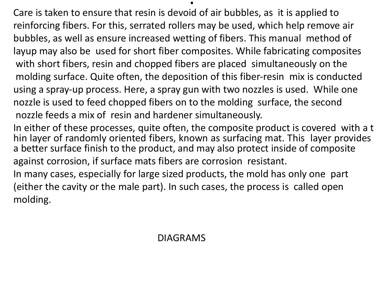Care is taken to ensure that resin is devoid of air bubbles, as it is applied to reinforcing fibers. For this, serrated rollers may be used, which help remove air bubbles, as well as ensure increased wetting of fibers. This manual method of layup may also be used for short fiber composites. While fabricating composites with short fibers, resin and chopped fibers are placed simultaneously on the molding surface. Quite often, the deposition of this fiber‐resin mix is conducted using a spray‐up process. Here, a spray gun with two nozzles is used. While one nozzle is used to feed chopped fibers on to the molding surface, the second nozzle feeds a mix of resin and hardener simultaneously.

.

In either of these processes, quite often, the composite product is covered with a t hin layer of randomly oriented fibers, known as surfacing mat. This layer provides a better surface finish to the product, and may also protect inside of composite against corrosion, if surface mats fibers are corrosion resistant.

In many cases, especially for large sized products, the mold has only one part (either the cavity or the male part). In such cases, the process is called open molding.

## DIAGRAMS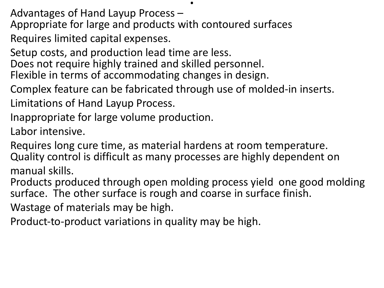Advantages of Hand Layup Process –

Appropriate for large and products with contoured surfaces

Requires limited capital expenses.

Setup costs, and production lead time are less.

Does not require highly trained and skilled personnel.

Flexible in terms of accommodating changes in design.

Complex feature can be fabricated through use of molded-in inserts. Limitations of Hand Layup Process.

.

Inappropriate for large volume production.

Labor intensive.

Requires long cure time, as material hardens at room temperature. Quality control is difficult as many processes are highly dependent on manual skills.

Products produced through open molding process yield one good molding surface. The other surface is rough and coarse in surface finish.

Wastage of materials may be high.

Product‐to‐product variations in quality may be high.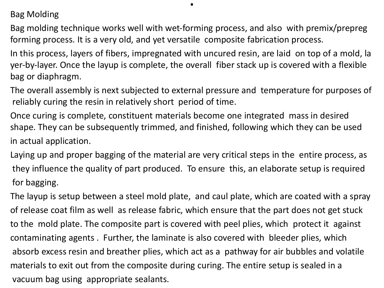Bag Molding

Bag molding technique works well with wet‐forming process, and also with premix/prepreg forming process. It is a very old, and yet versatile composite fabrication process.

.

In this process, layers of fibers, impregnated with uncured resin, are laid on top of a mold, la yer‐by‐layer. Once the layup is complete, the overall fiber stack up is covered with a flexible bag or diaphragm.

The overall assembly is next subjected to external pressure and temperature for purposes of reliably curing the resin in relatively short period of time.

Once curing is complete, constituent materials become one integrated mass in desired shape. They can be subsequently trimmed, and finished, following which they can be used in actual application.

Laying up and proper bagging of the material are very critical steps in the entire process, as they influence the quality of part produced. To ensure this, an elaborate setup is required for bagging.

The layup is setup between a steel mold plate, and caul plate, which are coated with a spray of release coat film as well as release fabric, which ensure that the part does not get stuck to the mold plate. The composite part is covered with peel plies, which protect it against contaminating agents . Further, the laminate is also covered with bleeder plies, which absorb excess resin and breather plies, which act as a pathway for air bubbles and volatile materials to exit out from the composite during curing. The entire setup is sealed in a vacuum bag using appropriate sealants.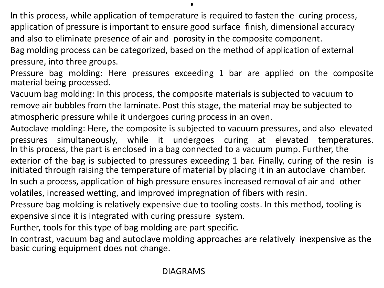In this process, while application of temperature is required to fasten the curing process, application of pressure is important to ensure good surface finish, dimensional accuracy and also to eliminate presence of air and porosity in the composite component.

.

Bag molding process can be categorized, based on the method of application of external pressure, into three groups.

Pressure bag molding: Here pressures exceeding 1 bar are applied on the composite material being processed.

Vacuum bag molding: In this process, the composite materials is subjected to vacuum to remove air bubbles from the laminate. Post this stage, the material may be subjected to atmospheric pressure while it undergoes curing process in an oven.

Autoclave molding: Here, the composite is subjected to vacuum pressures, and also elevated pressures simultaneously, while it undergoes curing at elevated temperatures. In this process, the part is enclosed in a bag connected to a vacuum pump. Further, the exterior of the bag is subjected to pressures exceeding 1 bar. Finally, curing of the resin is

initiated through raising the temperature of material by placing it in an autoclave chamber. In such a process, application of high pressure ensures increased removal of air and other

volatiles, increased wetting, and improved impregnation of fibers with resin.

Pressure bag molding is relatively expensive due to tooling costs. In this method, tooling is expensive since it is integrated with curing pressure system.

Further, tools for this type of bag molding are part specific.

In contrast, vacuum bag and autoclave molding approaches are relatively inexpensive as the basic curing equipment does not change.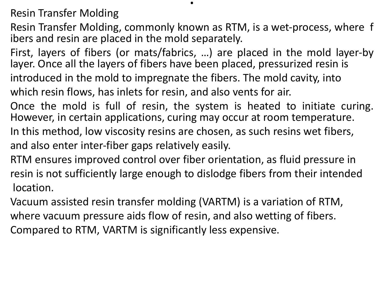Resin Transfer Molding

Resin Transfer Molding, commonly known as RTM, is a wet‐process, where f ibers and resin are placed in the mold separately.

.

First, layers of fibers (or mats/fabrics, …) are placed in the mold layer‐by layer. Once all the layers of fibers have been placed, pressurized resin is introduced in the mold to impregnate the fibers. The mold cavity, into which resin flows, has inlets for resin, and also vents for air.

Once the mold is full of resin, the system is heated to initiate curing. However, in certain applications, curing may occur at room temperature. In this method, low viscosity resins are chosen, as such resins wet fibers, and also enter inter‐fiber gaps relatively easily.

RTM ensures improved control over fiber orientation, as fluid pressure in resin is not sufficiently large enough to dislodge fibers from their intended location.

Vacuum assisted resin transfer molding (VARTM) is a variation of RTM, where vacuum pressure aids flow of resin, and also wetting of fibers. Compared to RTM, VARTM is significantly less expensive.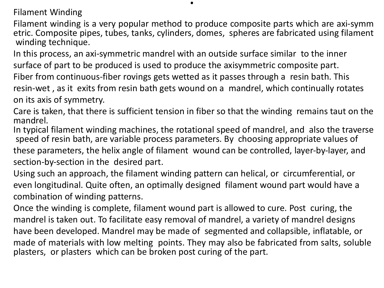Filament Winding

Filament winding is a very popular method to produce composite parts which are axi‐symm etric. Composite pipes, tubes, tanks, cylinders, domes, spheres are fabricated using filament winding technique.

.

In this process, an axi‐symmetric mandrel with an outside surface similar to the inner surface of part to be produced is used to produce the axisymmetric composite part. Fiber from continuous‐fiber rovings gets wetted as it passes through a resin bath. This resin‐wet , as it exits from resin bath gets wound on a mandrel, which continually rotates on its axis of symmetry.

Care is taken, that there is sufficient tension in fiber so that the winding remains taut on the mandrel.

In typical filament winding machines, the rotational speed of mandrel, and also the traverse speed of resin bath, are variable process parameters. By choosing appropriate values of these parameters, the helix angle of filament wound can be controlled, layer‐by‐layer, and section‐by‐section in the desired part.

Using such an approach, the filament winding pattern can helical, or circumferential, or even longitudinal. Quite often, an optimally designed filament wound part would have a combination of winding patterns.

Once the winding is complete, filament wound part is allowed to cure. Post curing, the mandrel is taken out. To facilitate easy removal of mandrel, a variety of mandrel designs have been developed. Mandrel may be made of segmented and collapsible, inflatable, or made of materials with low melting points. They may also be fabricated from salts, soluble plasters, or plasters which can be broken post curing of the part.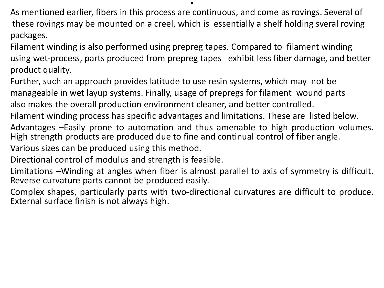As mentioned earlier, fibers in this process are continuous, and come as rovings. Several of these rovings may be mounted on a creel, which is essentially a shelf holding sveral roving packages.

.

Filament winding is also performed using prepreg tapes. Compared to filament winding using wet‐process, parts produced from prepreg tapes exhibit less fiber damage, and better product quality.

Further, such an approach provides latitude to use resin systems, which may not be manageable in wet layup systems. Finally, usage of prepregs for filament wound parts also makes the overall production environment cleaner, and better controlled.

Filament winding process has specific advantages and limitations. These are listed below.

Advantages –Easily prone to automation and thus amenable to high production volumes. High strength products are produced due to fine and continual control of fiber angle.

Various sizes can be produced using this method.

Directional control of modulus and strength is feasible.

Limitations –Winding at angles when fiber is almost parallel to axis of symmetry is difficult. Reverse curvature parts cannot be produced easily.

Complex shapes, particularly parts with two‐directional curvatures are difficult to produce. External surface finish is not always high.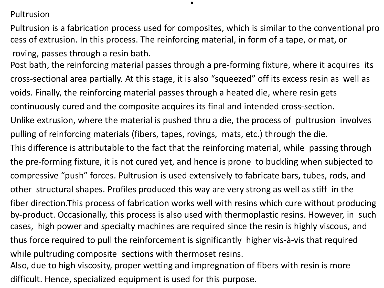Pultrusion

Pultrusion is a fabrication process used for composites, which is similar to the conventional pro cess of extrusion. In this process. The reinforcing material, in form of a tape, or mat, or roving, passes through a resin bath.

.

Post bath, the reinforcing material passes through a pre‐forming fixture, where it acquires its cross‐sectional area partially. At this stage, it is also "squeezed" off its excess resin as well as voids. Finally, the reinforcing material passes through a heated die, where resin gets continuously cured and the composite acquires its final and intended cross‐section. Unlike extrusion, where the material is pushed thru a die, the process of pultrusion involves pulling of reinforcing materials (fibers, tapes, rovings, mats, etc.) through the die. This difference is attributable to the fact that the reinforcing material, while passing through the pre‐forming fixture, it is not cured yet, and hence is prone to buckling when subjected to compressive "push" forces. Pultrusion is used extensively to fabricate bars, tubes, rods, and other structural shapes. Profiles produced this way are very strong as well as stiff in the fiber direction.This process of fabrication works well with resins which cure without producing by‐product. Occasionally, this process is also used with thermoplastic resins. However, in such cases, high power and specialty machines are required since the resin is highly viscous, and thus force required to pull the reinforcement is significantly higher vis‐à‐vis that required while pultruding composite sections with thermoset resins. Also, due to high viscosity, proper wetting and impregnation of fibers with resin is more

difficult. Hence, specialized equipment is used for this purpose.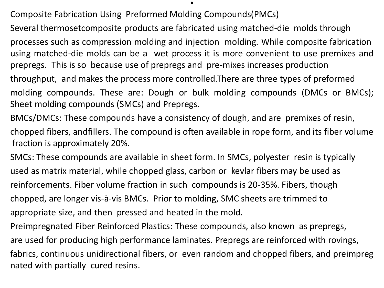Composite Fabrication Using Preformed Molding Compounds(PMCs)

Several thermosetcomposite products are fabricated using matched‐die molds through processes such as compression molding and injection molding. While composite fabrication using matched‐die molds can be a wet process it is more convenient to use premixes and prepregs. This is so because use of prepregs and pre‐mixes increases production throughput, and makes the process more controlled.There are three types of preformed molding compounds. These are: Dough or bulk molding compounds (DMCs or BMCs);

.

Sheet molding compounds (SMCs) and Prepregs.

BMCs/DMCs: These compounds have a consistency of dough, and are premixes of resin, chopped fibers, andfillers. The compound is often available in rope form, and its fiber volume fraction is approximately 20%.

SMCs: These compounds are available in sheet form. In SMCs, polyester resin is typically used as matrix material, while chopped glass, carbon or kevlar fibers may be used as reinforcements. Fiber volume fraction in such compounds is 20‐35%. Fibers, though chopped, are longer vis‐à‐vis BMCs. Prior to molding, SMC sheets are trimmed to appropriate size, and then pressed and heated in the mold.

Preimpregnated Fiber Reinforced Plastics: These compounds, also known as prepregs, are used for producing high performance laminates. Prepregs are reinforced with rovings, fabrics, continuous unidirectional fibers, or even random and chopped fibers, and preimpreg nated with partially cured resins.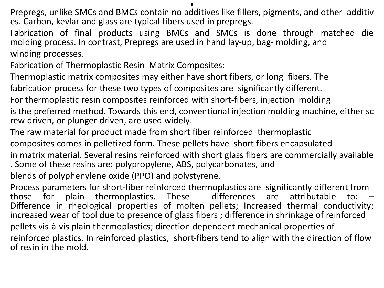Prepregs, unlike SMCs and BMCs contain no additives like fillers, pigments, and other additiv es. Carbon, kevlar and glass are typical fibers used in prepregs.

Fabrication of final products using BMCs and SMCs is done through matched die molding process. In contrast, Prepregs are used in hand lay‐up, bag‐ molding, and winding processes.

Fabrication of Thermoplastic Resin Matrix Composites:

Thermoplastic matrix composites may either have short fibers, or long fibers. The

fabrication process for these two types of composites are significantly different.

For thermoplastic resin composites reinforced with short‐fibers, injection molding

is the preferred method. Towards this end, conventional injection molding machine, either sc rew driven, or plunger driven, are used widely.

The raw material for product made from short fiber reinforced thermoplastic composites comes in pelletized form. These pellets have short fibers encapsulated

in matrix material. Several resins reinforced with short glass fibers are commercially available . Some of these resins are: polypropylene, ABS, polycarbonates, and

blends of polyphenylene oxide (PPO) and polystyrene.

Process parameters for short‐fiber reinforced thermoplastics are significantly different from those for plain thermoplastics. These differences are attributable to: – Difference in rheological properties of molten pellets; Increased thermal conductivity; increased wear of tool due to presence of glass fibers ; difference in shrinkage of reinforced pellets vis‐à‐vis plain thermoplastics; direction dependent mechanical properties of reinforced plastics. In reinforced plastics, short‐fibers tend to align with the direction of flow of resin in the mold.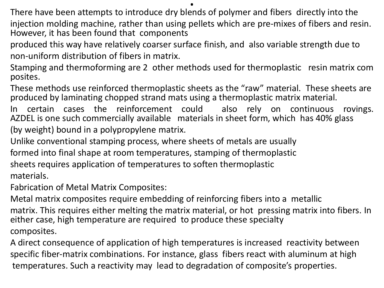.

There have been attempts to introduce dry blends of polymer and fibers directly into the injection molding machine, rather than using pellets which are pre‐mixes of fibers and resin. However, it has been found that components

produced this way have relatively coarser surface finish, and also variable strength due to non‐uniform distribution of fibers in matrix.

Stamping and thermoforming are 2 other methods used for thermoplastic resin matrix com posites.

These methods use reinforced thermoplastic sheets as the "raw" material. These sheets are produced by laminating chopped strand mats using a thermoplastic matrix material.

In certain cases the reinforcement could also rely on continuous rovings. AZDEL is one such commercially available materials in sheet form, which has 40% glass (by weight) bound in a polypropylene matrix.

Unlike conventional stamping process, where sheets of metals are usually formed into final shape at room temperatures, stamping of thermoplastic sheets requires application of temperatures to soften thermoplastic materials.

Fabrication of Metal Matrix Composites:

Metal matrix composites require embedding of reinforcing fibers into a metallic matrix. This requires either melting the matrix material, or hot pressing matrix into fibers. In either case, high temperature are required to produce these specialty composites.

A direct consequence of application of high temperatures is increased reactivity between specific fiber‐matrix combinations. For instance, glass fibers react with aluminum at high temperatures. Such a reactivity may lead to degradation of composite's properties.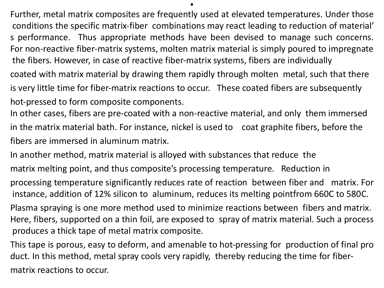Further, metal matrix composites are frequently used at elevated temperatures. Under those conditions the specific matrix‐fiber combinations may react leading to reduction of material' s performance. Thus appropriate methods have been devised to manage such concerns. For non‐reactive fiber‐matrix systems, molten matrix material is simply poured to impregnate the fibers. However, in case of reactive fiber‐matrix systems, fibers are individually coated with matrix material by drawing them rapidly through molten metal, such that there

.

is very little time for fiber-matrix reactions to occur. These coated fibers are subsequently hot-pressed to form composite components.

In other cases, fibers are pre‐coated with a non‐reactive material, and only them immersed in the matrix material bath. For instance, nickel is used to coat graphite fibers, before the fibers are immersed in aluminum matrix.

In another method, matrix material is alloyed with substances that reduce the

matrix melting point, and thus composite's processing temperature. Reduction in

processing temperature significantly reduces rate of reaction between fiber and matrix. For instance, addition of 12% silicon to aluminum, reduces its melting pointfrom 660C to 580C.

Plasma spraying is one more method used to minimize reactions between fibers and matrix. Here, fibers, supported on a thin foil, are exposed to spray of matrix material. Such a process produces a thick tape of metal matrix composite.

This tape is porous, easy to deform, and amenable to hot‐pressing for production of final pro duct. In this method, metal spray cools very rapidly, thereby reducing the time for fiber‐ matrix reactions to occur.